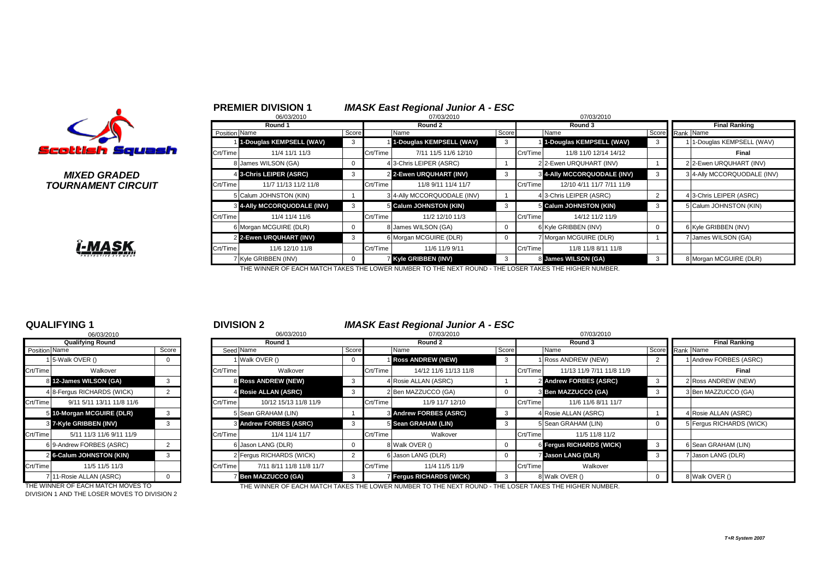| Scottish Squash |  |
|-----------------|--|

# **TOURNAMENT CIRCUIT**



|                                 |          | 06/03/2010                         |              |          | 07/03/2010                  |             |          | 07/03/2010                         |                 |                             |
|---------------------------------|----------|------------------------------------|--------------|----------|-----------------------------|-------------|----------|------------------------------------|-----------------|-----------------------------|
|                                 |          | Round 1                            |              |          | Round 2                     |             |          | Round 3                            |                 | <b>Final Ranking</b>        |
|                                 |          | <b>Position Name</b>               | Score        |          | Name                        | Score       |          | Name                               | Score Rank Name |                             |
|                                 |          | 1-Douglas KEMPSELL (WAV)           |              |          | 1-Douglas KEMPSELL (WAV)    |             |          | 1-Douglas KEMPSELL (WAV)           |                 | 1-Douglas KEMPSELL (WAV)    |
| ittish Squash                   | Crt/Time | 11/4 11/1 11/3                     |              | Crt/Time | 7/11 11/5 11/6 12/10        |             | Crt/Time | 11/8 11/0 12/14 14/12              |                 | Final                       |
|                                 |          | 8 James WILSON (GA)                | $\Omega$     |          | 4 3-Chris LEIPER (ASRC)     |             |          | 2 2-Ewen URQUHART (INV)            |                 | 2 2-Ewen URQUHART (INV)     |
| MIXED GRADED                    |          | 4 3-Chris LEIPER (ASRC)            |              |          | 2 2-Ewen URQUHART (INV)     |             |          | <b>3 4-Ally MCCORQUODALE (INV)</b> |                 | 3 4-Ally MCCORQUODALE (INV) |
| <i><b>IRNAMENT CIRCUIT</b></i>  | Crt/Time | 11/7 11/13 11/2 11/8               |              | Crt/Time | 11/8 9/11 11/4 11/7         |             | Crt/Time | 12/10 4/11 11/7 7/11 11/9          |                 |                             |
|                                 |          | 5 Calum JOHNSTON (KIN)             |              |          | 3 4-Ally MCCORQUODALE (INV) |             |          | 4 3-Chris LEIPER (ASRC)            |                 | 4 3-Chris LEIPER (ASRC)     |
|                                 |          | <b>8 4-Ally MCCORQUODALE (INV)</b> |              |          | 5 Calum JOHNSTON (KIN)      | 3           |          | 5 Calum JOHNSTON (KIN)             |                 | 5 Calum JOHNSTON (KIN)      |
|                                 | Crt/Time | 11/4 11/4 11/6                     |              | Crt/Time | 11/2 12/10 11/3             |             | Crt/Time | 14/12 11/2 11/9                    |                 |                             |
|                                 |          | 6 Morgan MCGUIRE (DLR)             | $\Omega$     |          | 8 James WILSON (GA)         | 0           |          | 6 Kyle GRIBBEN (INV)               |                 | 6 Kyle GRIBBEN (INV)        |
|                                 |          | 2 2-Ewen URQUHART (INV)            |              |          | 6 Morgan MCGUIRE (DLR)      | $\mathbf 0$ |          | 7 Morgan MCGUIRE (DLR)             |                 | James WILSON (GA)           |
| <u>Î-MASK.</u>                  | Crt/Time | 11/6 12/10 11/8                    |              | Crt/Time | 11/6 11/9 9/11              |             | Crt/Time | 11/8 11/8 8/11 11/8                |                 |                             |
| <b><i>PROTECTIVE EYE WE</i></b> |          | 7 Kyle GRIBBEN (INV)               | $\mathbf{0}$ |          | Kyle GRIBBEN (INV)          | 3           |          | 8 James WILSON (GA)                |                 | 8 Morgan MCGUIRE (DLR)      |

<sup>1</sup> **PREMIER DIVISION 1** *IMASK East Regional Junior A - ESC*

THE WINNER OF EACH MATCH TAKES THE LOWER NUMBER TO THE NEXT ROUND - THE LOSER TAKES THE HIGHER NUMBER.

|                      | <b>Qualifying Round</b>    |       |
|----------------------|----------------------------|-------|
| <b>Position Name</b> |                            | Score |
| 1                    | 5-Walk OVER ()             | 0     |
| Crt/Time             | Walkover                   |       |
| 8                    | 12-James WILSON (GA)       | 3     |
|                      | 4 8-Fergus RICHARDS (WICK) | 2     |
| Crt/Time             | 9/11 5/11 13/11 11/8 11/6  |       |
| 5                    | 10-Morgan MCGUIRE (DLR)    | 3     |
| 3                    | 7-Kyle GRIBBEN (INV)       | 3     |
| Crt/Time             | 5/11 11/3 11/6 9/11 11/9   |       |
|                      | 6 9-Andrew FORBES (ASRC)   | 2     |
| $\overline{2}$       | 6-Calum JOHNSTON (KIN)     | 3     |
| Crt/Time             | 11/5 11/5 11/3             |       |
| 7                    | 11-Rosie ALLAN (ASRC)      | O     |

DIVISION 1 AND THE LOSER MOVES TO DIVISION 2

|                      | <b>QUALIFYING 1</b><br>06/03/2010 |              |          | <b>DIVISION 2</b><br>06/03/2010 |            |          | <b>IMASK East Regional Junior A - ESC</b><br>07/03/2010 |       | 07/03/2010 |                           |    |                      |                          |
|----------------------|-----------------------------------|--------------|----------|---------------------------------|------------|----------|---------------------------------------------------------|-------|------------|---------------------------|----|----------------------|--------------------------|
|                      | <b>Qualifying Round</b>           |              |          | Round 1                         |            |          | Round 2                                                 |       |            | Round 3                   |    | <b>Final Ranking</b> |                          |
| <b>Position Name</b> |                                   | Score        |          | Seed Name                       | Score      |          | Name                                                    | Score |            | Name                      |    |                      | Score Rank Name          |
|                      | 5-Walk OVER ()                    | $\mathbf{0}$ |          | 1 Walk OVER ()                  | $^{\circ}$ |          | <b>Ross ANDREW (NEW)</b>                                | 3     |            | 1 Ross ANDREW (NEW)       |    |                      | 1 Andrew FORBES (ASRC)   |
| Crt/Time             | Walkover                          |              | Crt/Time | Walkover                        |            | Crt/Time | 14/12 11/6 11/13 11/8                                   |       | Crt/Time   | 11/13 11/9 7/11 11/8 11/9 |    |                      | Final                    |
|                      | 12-James WILSON (GA)              | 3            |          | <b>8 Ross ANDREW (NEW)</b>      | 3          |          | 4 Rosie ALLAN (ASRC)                                    |       |            | 2 Andrew FORBES (ASRC)    | -3 |                      | 2 Ross ANDREW (NEW)      |
|                      | 4 8-Fergus RICHARDS (WICK)        |              |          | 4 Rosie ALLAN (ASRC)            | 3          |          | 2 Ben MAZZUCCO (GA)                                     |       |            | 3 Ben MAZZUCCO (GA)       |    |                      | 3 Ben MAZZUCCO (GA)      |
| Crt/Time             | 9/11 5/11 13/11 11/8 11/6         |              | Crt/Time | 10/12 15/13 11/8 11/9           |            | Crt/Time | 11/9 11/7 12/10                                         |       | Crt/Time   | 11/6 11/6 8/11 11/7       |    |                      |                          |
|                      | 10-Morgan MCGUIRE (DLR)           |              |          | 5 Sean GRAHAM (LIN)             |            |          | <b>8 Andrew FORBES (ASRC)</b>                           |       |            | 4 Rosie ALLAN (ASRC)      |    |                      | 4 Rosie ALLAN (ASRC)     |
|                      | 3 7-Kyle GRIBBEN (INV)            | 3            |          | <b>8 Andrew FORBES (ASRC)</b>   | 3          |          | 5 Sean GRAHAM (LIN)                                     |       |            | 5 Sean GRAHAM (LIN)       |    |                      | 5 Fergus RICHARDS (WICK) |
| Crt/Time             | 5/11 11/3 11/6 9/11 11/9          |              | Crt/Time | 11/4 11/4 11/7                  |            | Crt/Time | Walkover                                                |       | Crt/Time   | 11/5 11/8 11/2            |    |                      |                          |
|                      | 6 9-Andrew FORBES (ASRC)          |              |          | 6 Jason LANG (DLR)              | 0          |          | 8 Walk OVER ()                                          |       |            | 6 Fergus RICHARDS (WICK)  | 3  |                      | 6 Sean GRAHAM (LIN)      |
|                      | 2 6-Calum JOHNSTON (KIN)          | 3            |          | 2 Fergus RICHARDS (WICK)        |            |          | 6 Jason LANG (DLR)                                      |       |            | 7 Jason LANG (DLR)        | 3  |                      | 7 Jason LANG (DLR)       |
| Crt/Time             | 11/5 11/5 11/3                    |              | Crt/Time | 7/11 8/11 11/8 11/8 11/7        |            | Crt/Time | 11/4 11/5 11/9                                          |       | Crt/Time   | Walkover                  |    |                      |                          |
|                      | 711-Rosie ALLAN (ASRC)            | $^{\rm o}$   |          | 7 Ben MAZZUCCO (GA)             | 3          |          | 7 Fergus RICHARDS (WICK)                                |       |            | 8 Walk OVER ()            |    |                      | 8 Walk OVER ()           |

THE WINNER OF EACH MATCH MOVES TO THE WINNER OF EACH MATCH TAKES THE LOWER NUMBER TO THE NEXT ROUND - THE LOSER TAKES THE HIGHER NUMBER.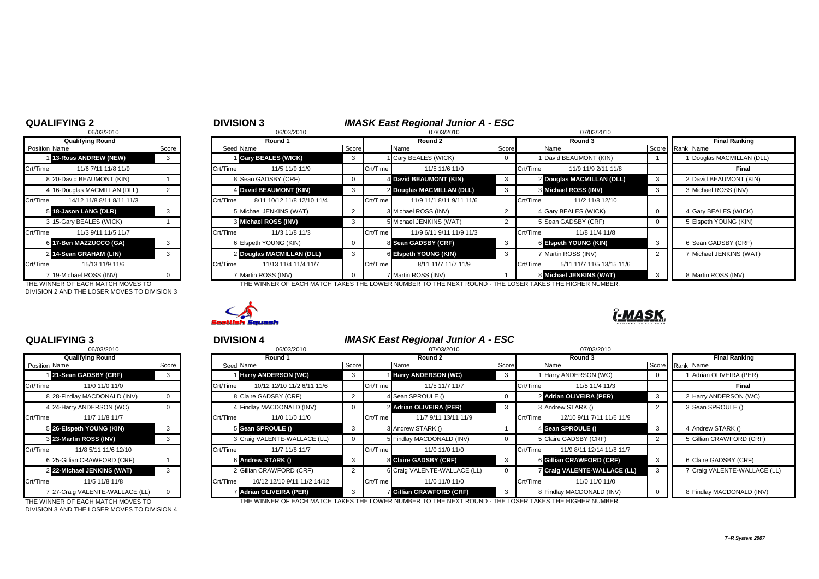|                      | 06/03/2010                   |       |
|----------------------|------------------------------|-------|
|                      | <b>Qualifying Round</b>      |       |
| <b>Position Name</b> |                              | Score |
| $\mathbf{1}$         | 13-Ross ANDREW (NEW)         | 3     |
| Crt/Time             | 11/6 7/11 11/8 11/9          |       |
|                      | 8 20-David BEAUMONT (KIN)    | 1     |
|                      | 4 16-Douglas MACMILLAN (DLL) | 2     |
| Crt/Time             | 14/12 11/8 8/11 8/11 11/3    |       |
| 5                    | 18-Jason LANG (DLR)          | 3     |
|                      | 3 15-Gary BEALES (WICK)      |       |
| Crt/Time             | 11/3 9/11 11/5 11/7          |       |
| 6                    | 17-Ben MAZZUCCO (GA)         | 3     |
| 2                    | 14-Sean GRAHAM (LIN)         | 3     |
| Crt/Time             | 15/13 11/9 11/6              |       |
|                      | 7 19-Michael ROSS (INV)      | O     |

DIVISION 2 AND THE LOSER MOVES TO DIVISION 3

|                      | 06/03/2010                    |       |
|----------------------|-------------------------------|-------|
|                      | <b>Qualifying Round</b>       |       |
| <b>Position Name</b> |                               | Score |
|                      | 21-Sean GADSBY (CRF)          | 3     |
| Crt/Time             | 11/0 11/0 11/0                |       |
| 8                    | 28-Findlay MACDONALD (INV)    | 0     |
|                      | 4 24-Harry ANDERSON (WC)      | O     |
| Crt/Time             | 11/7 11/8 11/7                |       |
| 5                    | 26-Elspeth YOUNG (KIN)        | 3     |
| 3                    | 23-Martin ROSS (INV)          | 3     |
| Crt/Time             | 11/8 5/11 11/6 12/10          |       |
| 6                    | 25-Gillian CRAWFORD (CRF)     |       |
| $\overline{2}$       | 22-Michael JENKINS (WAT)      | 3     |
| Crt/Time             | 11/5 11/8 11/8                |       |
| $\overline{7}$       | 27-Craig VALENTE-WALLACE (LL) | O     |

DIVISION 3 AND THE LOSER MOVES TO DIVISION 4

## **QUALIFYING 2** <sup>2</sup> <sup>3</sup> **DIVISION 3** *IMASK East Regional Junior A - ESC*

|                      | 06/03/2010                        |       |          | 06/03/2010                 |  |          | 07/03/2010                                                                                            |       |          | 07/03/2010                |                 |  |                           |
|----------------------|-----------------------------------|-------|----------|----------------------------|--|----------|-------------------------------------------------------------------------------------------------------|-------|----------|---------------------------|-----------------|--|---------------------------|
|                      | <b>Qualifying Round</b>           |       |          | Round 1                    |  |          | Round 2                                                                                               |       | Round 3  |                           |                 |  | <b>Final Ranking</b>      |
| <b>Position Name</b> |                                   | Score |          | Seed Name                  |  | Score    | Name                                                                                                  | Score |          | Name                      | Score Rank Name |  |                           |
|                      | 13-Ross ANDREW (NEW)              | 3     |          | Gary BEALES (WICK)         |  |          | I Gary BEALES (WICK)                                                                                  |       |          | 1 David BEAUMONT (KIN)    |                 |  | 1 Douglas MACMILLAN (DLL) |
| Crt/Time             | 11/6 7/11 11/8 11/9               |       | Crt/Time | 11/5 11/9 11/9             |  | Crt/Time | 11/5 11/6 11/9                                                                                        |       | Crt/Time | 11/9 11/9 2/11 11/8       |                 |  | Final                     |
|                      | 8 20-David BEAUMONT (KIN)         |       |          | Sean GADSBY (CRF)          |  |          | 4 David BEAUMONT (KIN)                                                                                | - 3   |          | 2 Douglas MACMILLAN (DLL) |                 |  | 2 David BEAUMONT (KIN)    |
|                      | 4 16-Douglas MACMILLAN (DLL)      |       |          | 4 David BEAUMONT (KIN)     |  |          | 2 Douglas MACMILLAN (DLL)                                                                             |       |          | 3 Michael ROSS (INV)      |                 |  | 3 Michael ROSS (INV)      |
| Crt/Time             | 14/12 11/8 8/11 8/11 11/3         |       | Crt/Time | 8/11 10/12 11/8 12/10 11/4 |  | Crt/Time | 11/9 11/1 8/11 9/11 11/6                                                                              |       | Crt/Time | 11/2 11/8 12/10           |                 |  |                           |
|                      | 5 18-Jason LANG (DLR)             |       |          | Michael JENKINS (WAT)      |  |          | 3 Michael ROSS (INV)                                                                                  |       |          | 4 Gary BEALES (WICK)      |                 |  | 4 Gary BEALES (WICK)      |
|                      | 3 15-Gary BEALES (WICK)           |       |          | 3 Michael ROSS (INV)       |  |          | 5 Michael JENKINS (WAT)                                                                               |       |          | 5 Sean GADSBY (CRF)       |                 |  | 5 Elspeth YOUNG (KIN)     |
| Crt/Time             | 11/3 9/11 11/5 11/7               |       | Crt/Time | 11/3 11/8 11/3             |  | Crt/Time | 11/9 6/11 9/11 11/9 11/3                                                                              |       | Crt/Time | 11/8 11/4 11/8            |                 |  |                           |
|                      | 6 17-Ben MAZZUCCO (GA)            |       |          | 6 Elspeth YOUNG (KIN)      |  |          | 8 Sean GADSBY (CRF)                                                                                   | - 3   |          | 6 Eispeth YOUNG (KIN)     |                 |  | 6 Sean GADSBY (CRF)       |
|                      | 2 14-Sean GRAHAM (LIN)            | 3     |          | 2 Douglas MACMILLAN (DLL)  |  |          | 6 Elspeth YOUNG (KIN)                                                                                 | -3    |          | 7 Martin ROSS (INV)       |                 |  | 7 Michael JENKINS (WAT)   |
| Crt/Time             | 15/13 11/9 11/6                   |       | Crt/Time | 11/13 11/4 11/4 11/7       |  | Crt/Time | 8/11 11/7 11/7 11/9                                                                                   |       | Crt/Time | 5/11 11/7 11/5 13/15 11/6 |                 |  |                           |
|                      | 719-Michael ROSS (INV)            |       |          | Martin ROSS (INV)          |  |          | 7 Martin ROSS (INV)                                                                                   |       |          | 8 Michael JENKINS (WAT)   |                 |  | 8 Martin ROSS (INV)       |
|                      | THE WINNER OF FACH MATCH MOVES TO |       |          |                            |  |          | HE WINNER OF FACH MATCH TAKES THE LOWER NUMBER TO THE NEXT ROUND - THE LOSER TAKES THE HIGHER NUMBER' |       |          |                           |                 |  |                           |

THE WINNER OF EACH MATCH MOVES TO THE WINNER OF EACH MATCH TAKES THE LOWER NUMBER TO THE NEXT ROUND - THE LOSER TAKES TI



|                      | <b>QUALIFYING 3</b>             |       |          | <b>DIVISION 4</b>            |       |          | <b>IMASK East Regional Junior A - ESC</b> |       |            |                              |                      |                              |  |
|----------------------|---------------------------------|-------|----------|------------------------------|-------|----------|-------------------------------------------|-------|------------|------------------------------|----------------------|------------------------------|--|
|                      | 06/03/2010                      |       |          | 06/03/2010                   |       |          | 07/03/2010                                |       | 07/03/2010 |                              |                      |                              |  |
|                      | <b>Qualifying Round</b>         |       |          | Round 1                      |       |          | Round 2                                   |       |            | Round 3                      | <b>Final Ranking</b> |                              |  |
| <b>Position</b> Name |                                 | Score |          | Seed Name                    | Score |          | Name                                      | Score |            | Name                         |                      | Score Rank Name              |  |
|                      | 21-Sean GADSBY (CRF)            |       |          | <b>Harry ANDERSON (WC)</b>   |       |          | <b>I Harry ANDERSON (WC)</b>              |       |            | 1 Harry ANDERSON (WC)        |                      | 1 Adrian OLIVEIRA (PER)      |  |
| Crt/Time             | 11/0 11/0 11/0                  |       | Crt/Time | 10/12 12/10 11/2 6/11 11/6   |       | Crt/Time | 11/5 11/7 11/7                            |       | Crt/Time   | 11/5 11/4 11/3               |                      | Final                        |  |
|                      | 8 28-Findlay MACDONALD (INV)    |       |          | 8 Claire GADSBY (CRF)        |       |          | 4 Sean SPROULE ()                         |       |            | 2 Adrian OLIVEIRA (PER)      |                      | 2 Harry ANDERSON (WC)        |  |
|                      | 424-Harry ANDERSON (WC)         |       |          | 4 Findlay MACDONALD (INV)    |       |          | 2 Adrian OLIVEIRA (PER)                   | 3     |            | 3 Andrew STARK ()            |                      | 3 Sean SPROULE ()            |  |
| Crt/Time             | 11/7 11/8 11/7                  |       | Crt/Time | 11/0 11/0 11/0               |       | Crt/Time | 11/7 9/11 13/11 11/9                      |       | Crt/Time   | 12/10 9/11 7/11 11/6 11/9    |                      |                              |  |
|                      | 5 26-Elspeth YOUNG (KIN)        |       |          | 5 Sean SPROULE ()            |       |          | 3 Andrew STARK ()                         |       |            | 4 Sean SPROULE ()            |                      | 4 Andrew STARK ()            |  |
|                      | 3 23-Martin ROSS (INV)          |       |          | 3 Craig VALENTE-WALLACE (LL) |       |          | 5 Findlay MACDONALD (INV)                 |       |            | 5 Claire GADSBY (CRF)        |                      | 5 Gillian CRAWFORD (CRF)     |  |
| Crt/Time             | 11/8 5/11 11/6 12/10            |       | Crt/Time | 11/7 11/8 11/7               |       | Crt/Time | 11/0 11/0 11/0                            |       | Crt/Time   | 11/9 8/11 12/14 11/8 11/7    |                      |                              |  |
|                      | 6 25-Gillian CRAWFORD (CRF)     |       |          | 6 Andrew STARK ()            |       |          | 8 Claire GADSBY (CRF)                     | 3     |            | 6 Gillian CRAWFORD (CRF)     |                      | 6 Claire GADSBY (CRF)        |  |
|                      | 2 22-Michael JENKINS (WAT)      |       |          | 2 Gillian CRAWFORD (CRF)     |       |          | 6 Craig VALENTE-WALLACE (LL)              |       |            | 7 Craig VALENTE-WALLACE (LL) |                      | 7 Craig VALENTE-WALLACE (LL) |  |
| Crt/Time             | 11/5 11/8 11/8                  |       | Crt/Time | 10/12 12/10 9/11 11/2 14/12  |       | Crt/Time | 11/0 11/0 11/0                            |       | Crt/Time   | 11/0 11/0 11/0               |                      |                              |  |
|                      | 7 27-Craig VALENTE-WALLACE (LL) |       |          | Adrian OLIVEIRA (PER)        |       |          | Gillian CRAWFORD (CRF)                    |       |            | 8 Findlay MACDONALD (INV)    |                      | 8 Findlay MACDONALD (INV)    |  |

THE WINNER OF EACH MATCH MOVES TO THE WINNER OF EACH MATCH TAKES THE LOWER NUMBER TO THE NEXT ROUND - THE LOSER TAKES THE HIGHER NUMBER.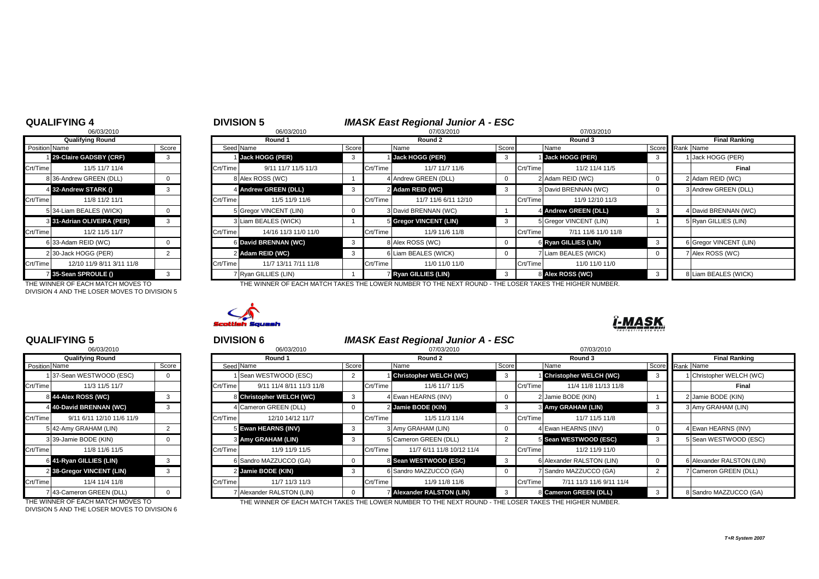# 3 31-Adrian OLIVEIRA (PER) 3 31-Adrian VINCENT 3 Crt/Time 12/10 11/9 8/11 3/11 11/8

DIVISION 4 AND THE LOSER MOVES TO DIVISION 5

| 06/03/2010                |                                                                                                                                                                                                                                 |                     | 06/03/2010           |                                                                                                                                                                                                                                                                     |  | 07/03/2010           |                                                                                                                                                                                                                                   |          | 07/03/2010                                                     |                                                                                                                                                                                           |                        |
|---------------------------|---------------------------------------------------------------------------------------------------------------------------------------------------------------------------------------------------------------------------------|---------------------|----------------------|---------------------------------------------------------------------------------------------------------------------------------------------------------------------------------------------------------------------------------------------------------------------|--|----------------------|-----------------------------------------------------------------------------------------------------------------------------------------------------------------------------------------------------------------------------------|----------|----------------------------------------------------------------|-------------------------------------------------------------------------------------------------------------------------------------------------------------------------------------------|------------------------|
| <b>Qualifying Round</b>   |                                                                                                                                                                                                                                 |                     | Round 1              |                                                                                                                                                                                                                                                                     |  | Round 2              |                                                                                                                                                                                                                                   |          | Round 3                                                        |                                                                                                                                                                                           | <b>Final Ranking</b>   |
|                           | Score                                                                                                                                                                                                                           |                     |                      | Score                                                                                                                                                                                                                                                               |  | Name                 |                                                                                                                                                                                                                                   |          |                                                                |                                                                                                                                                                                           |                        |
|                           | 3                                                                                                                                                                                                                               |                     |                      |                                                                                                                                                                                                                                                                     |  |                      | -3                                                                                                                                                                                                                                |          |                                                                |                                                                                                                                                                                           | 1 Jack HOGG (PER)      |
| 11/5 11/7 11/4            |                                                                                                                                                                                                                                 |                     | 9/11 11/7 11/5 11/3  |                                                                                                                                                                                                                                                                     |  | 11/7 11/7 11/6       |                                                                                                                                                                                                                                   |          | 11/2 11/4 11/5                                                 |                                                                                                                                                                                           | Final                  |
|                           |                                                                                                                                                                                                                                 |                     |                      |                                                                                                                                                                                                                                                                     |  |                      |                                                                                                                                                                                                                                   |          |                                                                |                                                                                                                                                                                           | 2 Adam REID (WC)       |
|                           | 3                                                                                                                                                                                                                               |                     |                      |                                                                                                                                                                                                                                                                     |  |                      | 3                                                                                                                                                                                                                                 |          |                                                                |                                                                                                                                                                                           | 3 Andrew GREEN (DLL)   |
| 11/8 11/2 11/1            |                                                                                                                                                                                                                                 |                     | 11/5 11/9 11/6       |                                                                                                                                                                                                                                                                     |  | 11/7 11/6 6/11 12/10 |                                                                                                                                                                                                                                   | Crt/Time | 11/9 12/10 11/3                                                |                                                                                                                                                                                           |                        |
|                           |                                                                                                                                                                                                                                 |                     |                      |                                                                                                                                                                                                                                                                     |  |                      |                                                                                                                                                                                                                                   |          |                                                                |                                                                                                                                                                                           | 4 David BRENNAN (WC)   |
|                           |                                                                                                                                                                                                                                 |                     |                      |                                                                                                                                                                                                                                                                     |  |                      |                                                                                                                                                                                                                                   |          |                                                                |                                                                                                                                                                                           | 5 Ryan GILLIES (LIN)   |
| 11/2 11/5 11/7            |                                                                                                                                                                                                                                 |                     | 14/16 11/3 11/0 11/0 |                                                                                                                                                                                                                                                                     |  | 11/9 11/6 11/8       |                                                                                                                                                                                                                                   | Crt/Time | 7/11 11/6 11/0 11/8                                            |                                                                                                                                                                                           |                        |
|                           |                                                                                                                                                                                                                                 |                     |                      |                                                                                                                                                                                                                                                                     |  |                      |                                                                                                                                                                                                                                   |          |                                                                |                                                                                                                                                                                           | 6 Gregor VINCENT (LIN) |
|                           |                                                                                                                                                                                                                                 |                     |                      |                                                                                                                                                                                                                                                                     |  |                      |                                                                                                                                                                                                                                   |          |                                                                |                                                                                                                                                                                           | 7 Alex ROSS (WC)       |
| 12/10 11/9 8/11 3/11 11/8 |                                                                                                                                                                                                                                 |                     | 11/7 13/11 7/11 11/8 |                                                                                                                                                                                                                                                                     |  | 11/0 11/0 11/0       |                                                                                                                                                                                                                                   | Crt/Time | 11/0 11/0 11/0                                                 |                                                                                                                                                                                           |                        |
|                           |                                                                                                                                                                                                                                 |                     |                      |                                                                                                                                                                                                                                                                     |  |                      |                                                                                                                                                                                                                                   |          |                                                                |                                                                                                                                                                                           | 8 Liam BEALES (WICK)   |
|                           | <b>Position Name</b><br>29-Claire GADSBY (CRF)<br>8 36-Andrew GREEN (DLL)<br>4 32-Andrew STARK ()<br>5 34-Liam BEALES (WICK)<br>3 31-Adrian OLIVEIRA (PER)<br>6 33-Adam REID (WC)<br>2 30-Jack HOGG (PER)<br>35-Sean SPROULE () | <b>QUALIFYING 4</b> |                      | <b>DIVISION 5</b><br>Seed Name<br>Jack HOGG (PER)<br>Crt/Time<br>8 Alex ROSS (WC)<br>4 Andrew GREEN (DLL)<br>Crt/Time<br>5 Gregor VINCENT (LIN)<br>I Liam BEALES (WICK)<br>Crt/Time<br>6 David BRENNAN (WC)<br>2 Adam REID (WC)<br>Crt/Time<br>7 Ryan GILLIES (LIN) |  |                      | Jack HOGG (PER)<br>Crt/Time<br>4 Andrew GREEN (DLL)<br>2 Adam REID (WC)<br>Crt/Time<br>3 David BRENNAN (WC)<br>5 Gregor VINCENT (LIN)<br>Crt/Time<br>8 Alex ROSS (WC)<br>6 Liam BEALES (WICK)<br>Crt/Time<br>7 Ryan GILLIES (LIN) |          | <b>IMASK East Regional Junior A - ESC</b><br>Score<br>Crt/Time | Name<br>Jack HOGG (PER)<br>2 Adam REID (WC)<br>3 David BRENNAN (WC)<br>4 Andrew GREEN (DLL)<br>5 Gregor VINCENT (LIN)<br>6 Ryan GILLIES (LIN)<br>7 Liam BEALES (WICK)<br>8 Alex ROSS (WC) | Score Rank Name        |

THE WINNER OF EACH MATCH MOVES TO THE WINNER OF EACH MATCH TAKES THE LOWER NUMBER TO THE NEXT ROUND - THE LOSER TAKES THE HIGHER NUMBER.



## **QUALIFYING 5** <sup>5</sup> <sup>6</sup> **DIVISION 6** *IMASK East Regional Junior A - ESC*

|                      | 06/03/2010                |       |
|----------------------|---------------------------|-------|
|                      | <b>Qualifying Round</b>   |       |
| <b>Position Name</b> |                           | Score |
| 1                    | 37-Sean WESTWOOD (ESC)    | 0     |
| Crt/Time             | 11/3 11/5 11/7            |       |
| 8                    | 44-Alex ROSS (WC)         | 3     |
| 4                    | 40-David BRENNAN (WC)     | 3     |
| Crt/Time             | 9/11 6/11 12/10 11/6 11/9 |       |
| 51                   | 42-Amy GRAHAM (LIN)       | 2     |
|                      | 3 39-Jamie BODE (KIN)     | O     |
| Crt/Time             | 11/8 11/6 11/5            |       |
| 6                    | 41-Ryan GILLIES (LIN)     | 3     |
| $\overline{2}$       | 38-Gregor VINCENT (LIN)   | 3     |
| Crt/Time             | 11/4 11/4 11/8            |       |
|                      | 7 43-Cameron GREEN (DLL)  | O     |

DIVISION 5 AND THE LOSER MOVES TO DIVISION 6

|                        | ***********<br>06/03/2010 |   |          | ט וועוטויש<br>06/03/2010     |  | 07/03/2010    |                                |       | 07/03/2010 |                           |                      |  |                           |
|------------------------|---------------------------|---|----------|------------------------------|--|---------------|--------------------------------|-------|------------|---------------------------|----------------------|--|---------------------------|
|                        | <b>Qualifying Round</b>   |   |          | Round 1                      |  | Round 2       |                                |       | Round 3    |                           | <b>Final Ranking</b> |  |                           |
| Position Name<br>Score |                           |   |          | Seed Name                    |  | Score<br>Name |                                | Score | Name       |                           | Score Rank Name      |  |                           |
|                        | 37-Sean WESTWOOD (ESC)    |   |          | Sean WESTWOOD (ESC)          |  |               | <b>Christopher WELCH (WC)</b>  | 3     |            | Christopher WELCH (WC)    |                      |  | 1 Christopher WELCH (WC)  |
| Crt/Time               | 11/3 11/5 11/7            |   | Crt/Time | 9/11 11/4 8/11 11/3 11/8     |  | Crt/Time      | 11/6 11/7 11/5                 |       | Crt/Time   | 11/4 11/8 11/13 11/8      |                      |  | Final                     |
|                        | 8 44-Alex ROSS (WC)       | 3 |          | 8 Christopher WELCH (WC)     |  |               | 4 Ewan HEARNS (INV)            |       |            | 2 Jamie BODE (KIN)        |                      |  | 2 Jamie BODE (KIN)        |
|                        | 4 40-David BRENNAN (WC)   |   |          | <b>I</b> Cameron GREEN (DLL) |  |               | 2 Jamie BODE (KIN)             |       |            | <b>3 Amy GRAHAM (LIN)</b> |                      |  | 3 Amy GRAHAM (LIN)        |
| Crt/Time I             | 9/11 6/11 12/10 11/6 11/9 |   | Crt/Time | 12/10 14/12 11/7             |  | Crt/Time      | 11/5 11/3 11/4                 |       | Crt/Time   | 11/7 11/5 11/8            |                      |  |                           |
|                        | 5 42-Amy GRAHAM (LIN)     |   |          | 5 Ewan HEARNS (INV)          |  |               | 3 Amy GRAHAM (LIN)             |       |            | 4 Ewan HEARNS (INV)       |                      |  | 4 Ewan HEARNS (INV)       |
|                        | 3 39-Jamie BODE (KIN)     |   |          | 3 Amy GRAHAM (LIN)           |  |               | 5 Cameron GREEN (DLL)          |       |            | 5 Sean WESTWOOD (ESC)     |                      |  | 5 Sean WESTWOOD (ESC)     |
| Crt/Time               | 11/8 11/6 11/5            |   | Crt/Time | 11/9 11/9 11/5               |  | Crt/Time      | 11/7 6/11 11/8 10/12 11/4      |       | Crt/Time   | 11/2 11/9 11/0            |                      |  |                           |
|                        | 6 41-Ryan GILLIES (LIN)   |   |          | 6 Sandro MAZZUCCO (GA)       |  |               | 8 Sean WESTWOOD (ESC)          |       |            | 6 Alexander RALSTON (LIN) |                      |  | 6 Alexander RALSTON (LIN) |
|                        | 2 38-Gregor VINCENT (LIN) | 3 |          | 2 Jamie BODE (KIN)           |  |               | 6 Sandro MAZZUCCO (GA)         |       |            | 7 Sandro MAZZUCCO (GA)    |                      |  | 7 Cameron GREEN (DLL)     |
| Crt/Time               | 11/4 11/4 11/8            |   | Crt/Time | 11/7 11/3 11/3               |  | Crt/Time      | 11/9 11/8 11/6                 |       | Crt/Time   | 7/11 11/3 11/6 9/11 11/4  |                      |  |                           |
|                        | 7 43-Cameron GREEN (DLL)  |   |          | Alexander RALSTON (LIN)      |  |               | <b>Alexander RALSTON (LIN)</b> |       |            | 8 Cameron GREEN (DLL)     |                      |  | 8 Sandro MAZZUCCO (GA)    |

THE WINNER OF EACH MATCH MOVES TO THE WINNER OF EACH MATCH TAKES THE LOWER NUMBER TO THE NEXT ROUND - THE LOSER TAKES THE HIGHER NUMBER.